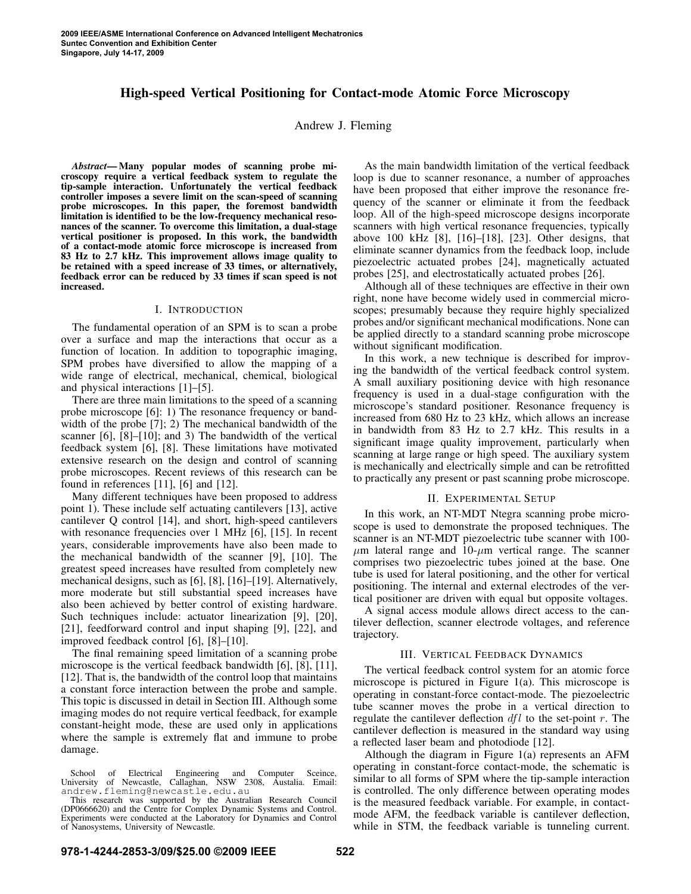# **High-speed Vertical Positioning for Contact-mode Atomic Force Microscopy**

Andrew J. Fleming

*Abstract***— Many popular modes of scanning probe microscopy require a vertical feedback system to regulate the tip-sample interaction. Unfortunately the vertical feedback controller imposes a severe limit on the scan-speed of scanning probe microscopes. In this paper, the foremost bandwidth limitation is identified to be the low-frequency mechanical resonances of the scanner. To overcome this limitation, a dual-stage vertical positioner is proposed. In this work, the bandwidth of a contact-mode atomic force microscope is increased from 83 Hz to 2.7 kHz. This improvement allows image quality to be retained with a speed increase of 33 times, or alternatively, feedback error can be reduced by 33 times if scan speed is not increased.**

### I. INTRODUCTION

The fundamental operation of an SPM is to scan a probe over a surface and map the interactions that occur as a function of location. In addition to topographic imaging, SPM probes have diversified to allow the mapping of a wide range of electrical, mechanical, chemical, biological and physical interactions [1]–[5].

There are three main limitations to the speed of a scanning probe microscope [6]: 1) The resonance frequency or bandwidth of the probe [7]; 2) The mechanical bandwidth of the scanner [6], [8]–[10]; and 3) The bandwidth of the vertical feedback system [6], [8]. These limitations have motivated extensive research on the design and control of scanning probe microscopes. Recent reviews of this research can be found in references [11], [6] and [12].

Many different techniques have been proposed to address point 1). These include self actuating cantilevers [13], active cantilever Q control [14], and short, high-speed cantilevers with resonance frequencies over 1 MHz [6], [15]. In recent years, considerable improvements have also been made to the mechanical bandwidth of the scanner [9], [10]. The greatest speed increases have resulted from completely new mechanical designs, such as [6], [8], [16]–[19]. Alternatively, more moderate but still substantial speed increases have also been achieved by better control of existing hardware. Such techniques include: actuator linearization [9], [20], [21], feedforward control and input shaping [9], [22], and improved feedback control [6], [8]–[10].

The final remaining speed limitation of a scanning probe microscope is the vertical feedback bandwidth [6], [8], [11], [12]. That is, the bandwidth of the control loop that maintains a constant force interaction between the probe and sample. This topic is discussed in detail in Section III. Although some imaging modes do not require vertical feedback, for example constant-height mode, these are used only in applications where the sample is extremely flat and immune to probe damage.

As the main bandwidth limitation of the vertical feedback loop is due to scanner resonance, a number of approaches have been proposed that either improve the resonance frequency of the scanner or eliminate it from the feedback loop. All of the high-speed microscope designs incorporate scanners with high vertical resonance frequencies, typically above 100 kHz [8], [16]–[18], [23]. Other designs, that eliminate scanner dynamics from the feedback loop, include piezoelectric actuated probes [24], magnetically actuated probes [25], and electrostatically actuated probes [26].

Although all of these techniques are effective in their own right, none have become widely used in commercial microscopes; presumably because they require highly specialized probes and/or significant mechanical modifications. None can be applied directly to a standard scanning probe microscope without significant modification.

In this work, a new technique is described for improving the bandwidth of the vertical feedback control system. A small auxiliary positioning device with high resonance frequency is used in a dual-stage configuration with the microscope's standard positioner. Resonance frequency is increased from 680 Hz to 23 kHz, which allows an increase in bandwidth from 83 Hz to 2.7 kHz. This results in a significant image quality improvement, particularly when scanning at large range or high speed. The auxiliary system is mechanically and electrically simple and can be retrofitted to practically any present or past scanning probe microscope.

## II. EXPERIMENTAL SETUP

In this work, an NT-MDT Ntegra scanning probe microscope is used to demonstrate the proposed techniques. The scanner is an NT-MDT piezoelectric tube scanner with 100-  $\mu$ m lateral range and 10- $\mu$ m vertical range. The scanner comprises two piezoelectric tubes joined at the base. One tube is used for lateral positioning, and the other for vertical positioning. The internal and external electrodes of the vertical positioner are driven with equal but opposite voltages.

A signal access module allows direct access to the cantilever deflection, scanner electrode voltages, and reference trajectory.

## III. VERTICAL FEEDBACK DYNAMICS

The vertical feedback control system for an atomic force microscope is pictured in Figure 1(a). This microscope is operating in constant-force contact-mode. The piezoelectric tube scanner moves the probe in a vertical direction to regulate the cantilever deflection  $df_l$  to the set-point r. The cantilever deflection is measured in the standard way using a reflected laser beam and photodiode [12].

Although the diagram in Figure 1(a) represents an AFM operating in constant-force contact-mode, the schematic is similar to all forms of SPM where the tip-sample interaction is controlled. The only difference between operating modes is the measured feedback variable. For example, in contactmode AFM, the feedback variable is cantilever deflection, while in STM, the feedback variable is tunneling current.

School of Electrical Engineering and Computer Sceince, University of Newcastle, Callaghan, NSW 2308, Austalia. Email: andrew.fleming@newcastle.edu.au

This research was supported by the Australian Research Council (DP0666620) and the Centre for Complex Dynamic Systems and Control. Experiments were conducted at the Laboratory for Dynamics and Control of Nanosystems, University of Newcastle.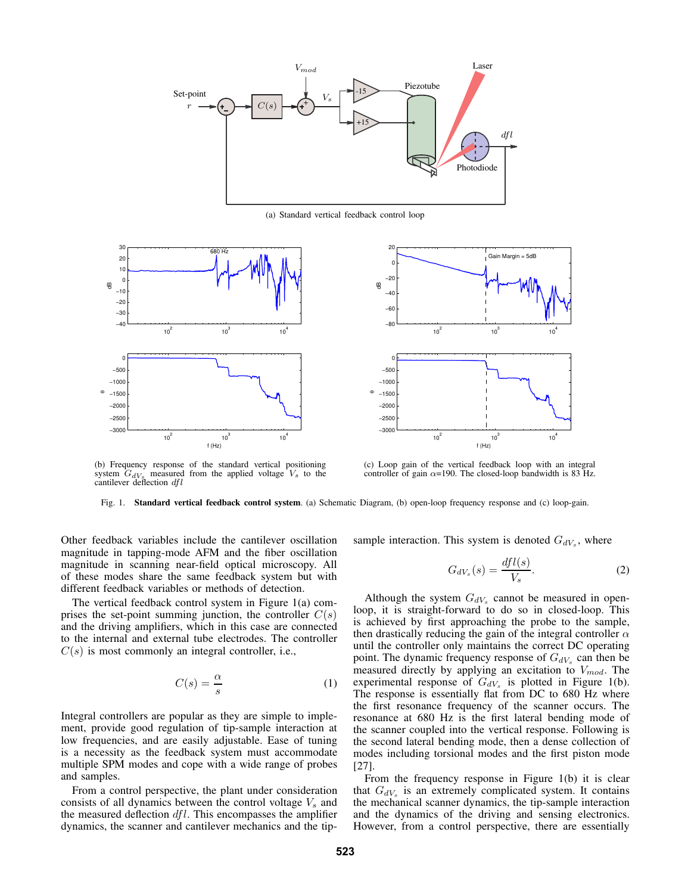

(a) Standard vertical feedback control loop





(b) Frequency response of the standard vertical positioning system  $G_{dV_s}$  measured from the applied voltage  $V_s$  to the cantilever deflection  $dfl$ 

(c) Loop gain of the vertical feedback loop with an integral controller of gain  $\alpha$ =190. The closed-loop bandwidth is 83 Hz.

Fig. 1. **Standard vertical feedback control system**. (a) Schematic Diagram, (b) open-loop frequency response and (c) loop-gain.

Other feedback variables include the cantilever oscillation magnitude in tapping-mode AFM and the fiber oscillation magnitude in scanning near-field optical microscopy. All of these modes share the same feedback system but with different feedback variables or methods of detection.

The vertical feedback control system in Figure 1(a) comprises the set-point summing junction, the controller  $C(s)$ and the driving amplifiers, which in this case are connected to the internal and external tube electrodes. The controller  $C(s)$  is most commonly an integral controller, i.e.,

$$
C(s) = \frac{\alpha}{s} \tag{1}
$$

Integral controllers are popular as they are simple to implement, provide good regulation of tip-sample interaction at low frequencies, and are easily adjustable. Ease of tuning is a necessity as the feedback system must accommodate multiple SPM modes and cope with a wide range of probes and samples.

From a control perspective, the plant under consideration consists of all dynamics between the control voltage  $V_s$  and the measured deflection  $dfl$ . This encompasses the amplifier dynamics, the scanner and cantilever mechanics and the tipsample interaction. This system is denoted  $G_{dV_s}$ , where

$$
G_{dV_s}(s) = \frac{dfl(s)}{V_s}.
$$
\n(2)

Although the system  $G_{dV_s}$  cannot be measured in openloop, it is straight-forward to do so in closed-loop. This is achieved by first approaching the probe to the sample, then drastically reducing the gain of the integral controller  $\alpha$ until the controller only maintains the correct DC operating point. The dynamic frequency response of  $G_{dV_s}$  can then be measured directly by applying an excitation to  $V_{mod}$ . The experimental response of  $G_{dV_s}$  is plotted in Figure 1(b). The response is essentially flat from DC to 680 Hz where the first resonance frequency of the scanner occurs. The resonance at 680 Hz is the first lateral bending mode of the scanner coupled into the vertical response. Following is the second lateral bending mode, then a dense collection of modes including torsional modes and the first piston mode [27].

From the frequency response in Figure 1(b) it is clear that  $G_{dV_s}$  is an extremely complicated system. It contains the mechanical scanner dynamics, the tip-sample interaction and the dynamics of the driving and sensing electronics. However, from a control perspective, there are essentially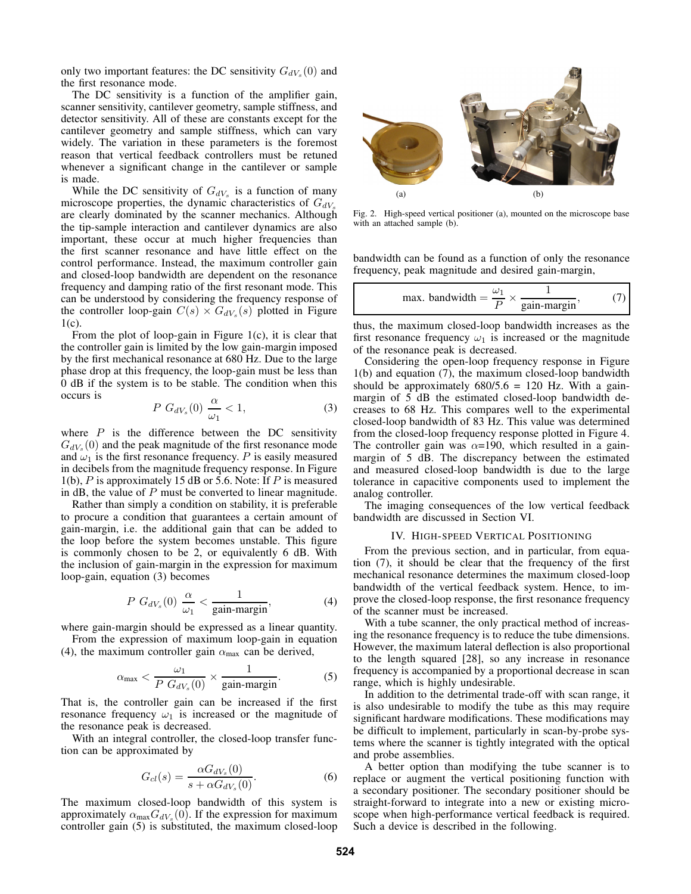only two important features: the DC sensitivity  $G_{dV_s}(0)$  and the first resonance mode.

The DC sensitivity is a function of the amplifier gain, scanner sensitivity, cantilever geometry, sample stiffness, and detector sensitivity. All of these are constants except for the cantilever geometry and sample stiffness, which can vary widely. The variation in these parameters is the foremost reason that vertical feedback controllers must be retuned whenever a significant change in the cantilever or sample is made.

While the DC sensitivity of  $G_{dV_s}$  is a function of many microscope properties, the dynamic characteristics of  $G_{dV_s}$ are clearly dominated by the scanner mechanics. Although the tip-sample interaction and cantilever dynamics are also important, these occur at much higher frequencies than the first scanner resonance and have little effect on the control performance. Instead, the maximum controller gain and closed-loop bandwidth are dependent on the resonance frequency and damping ratio of the first resonant mode. This can be understood by considering the frequency response of the controller loop-gain  $C(s) \times G_{dV_s}(s)$  plotted in Figure  $1(c)$ .

From the plot of loop-gain in Figure 1(c), it is clear that the controller gain is limited by the low gain-margin imposed by the first mechanical resonance at 680 Hz. Due to the large phase drop at this frequency, the loop-gain must be less than 0 dB if the system is to be stable. The condition when this occurs is

$$
P\ G_{dV_s}(0)\ \frac{\alpha}{\omega_1} < 1,\tag{3}
$$

where  $P$  is the difference between the DC sensitivity  $G_{dV_s}(0)$  and the peak magnitude of the first resonance mode and  $\omega_1$  is the first resonance frequency. P is easily measured in decibels from the magnitude frequency response. In Figure 1(b),  $P$  is approximately 15 dB or 5.6. Note: If  $P$  is measured in  $dB$ , the value of  $P$  must be converted to linear magnitude.

Rather than simply a condition on stability, it is preferable to procure a condition that guarantees a certain amount of gain-margin, i.e. the additional gain that can be added to the loop before the system becomes unstable. This figure is commonly chosen to be 2, or equivalently 6 dB. With the inclusion of gain-margin in the expression for maximum loop-gain, equation (3) becomes

$$
P\ G_{dV_s}(0)\ \frac{\alpha}{\omega_1} < \frac{1}{\text{gain-margin}},\tag{4}
$$

where gain-margin should be expressed as a linear quantity.

From the expression of maximum loop-gain in equation (4), the maximum controller gain  $\alpha_{\text{max}}$  can be derived,

$$
\alpha_{\max} < \frac{\omega_1}{P \ G_{dV_s}(0)} \times \frac{1}{\text{gain-margin}}.\tag{5}
$$

That is, the controller gain can be increased if the first resonance frequency  $\omega_1$  is increased or the magnitude of the resonance peak is decreased.

With an integral controller, the closed-loop transfer function can be approximated by

$$
G_{cl}(s) = \frac{\alpha G_{dV_s}(0)}{s + \alpha G_{dV_s}(0)}.
$$
 (6)

The maximum closed-loop bandwidth of this system is approximately  $\alpha_{\text{max}} G_{dV_s}(0)$ . If the expression for maximum controller gain (5) is substituted, the maximum closed-loop



Fig. 2. High-speed vertical positioner (a), mounted on the microscope base with an attached sample (b).

bandwidth can be found as a function of only the resonance frequency, peak magnitude and desired gain-margin,

max. bandwidth = 
$$
\frac{\omega_1}{P} \times \frac{1}{\text{gain-margin}}
$$
, (7)

thus, the maximum closed-loop bandwidth increases as the first resonance frequency  $\omega_1$  is increased or the magnitude of the resonance peak is decreased.

Considering the open-loop frequency response in Figure 1(b) and equation (7), the maximum closed-loop bandwidth should be approximately  $680/5.6 = 120$  Hz. With a gainmargin of 5 dB the estimated closed-loop bandwidth decreases to 68 Hz. This compares well to the experimental closed-loop bandwidth of 83 Hz. This value was determined from the closed-loop frequency response plotted in Figure 4. The controller gain was  $\alpha$ =190, which resulted in a gainmargin of 5 dB. The discrepancy between the estimated and measured closed-loop bandwidth is due to the large tolerance in capacitive components used to implement the analog controller.

The imaging consequences of the low vertical feedback bandwidth are discussed in Section VI.

#### IV. HIGH-SPEED VERTICAL POSITIONING

From the previous section, and in particular, from equation (7), it should be clear that the frequency of the first mechanical resonance determines the maximum closed-loop bandwidth of the vertical feedback system. Hence, to improve the closed-loop response, the first resonance frequency of the scanner must be increased.

With a tube scanner, the only practical method of increasing the resonance frequency is to reduce the tube dimensions. However, the maximum lateral deflection is also proportional to the length squared [28], so any increase in resonance frequency is accompanied by a proportional decrease in scan range, which is highly undesirable.

In addition to the detrimental trade-off with scan range, it is also undesirable to modify the tube as this may require significant hardware modifications. These modifications may be difficult to implement, particularly in scan-by-probe systems where the scanner is tightly integrated with the optical and probe assemblies.

A better option than modifying the tube scanner is to replace or augment the vertical positioning function with a secondary positioner. The secondary positioner should be straight-forward to integrate into a new or existing microscope when high-performance vertical feedback is required. Such a device is described in the following.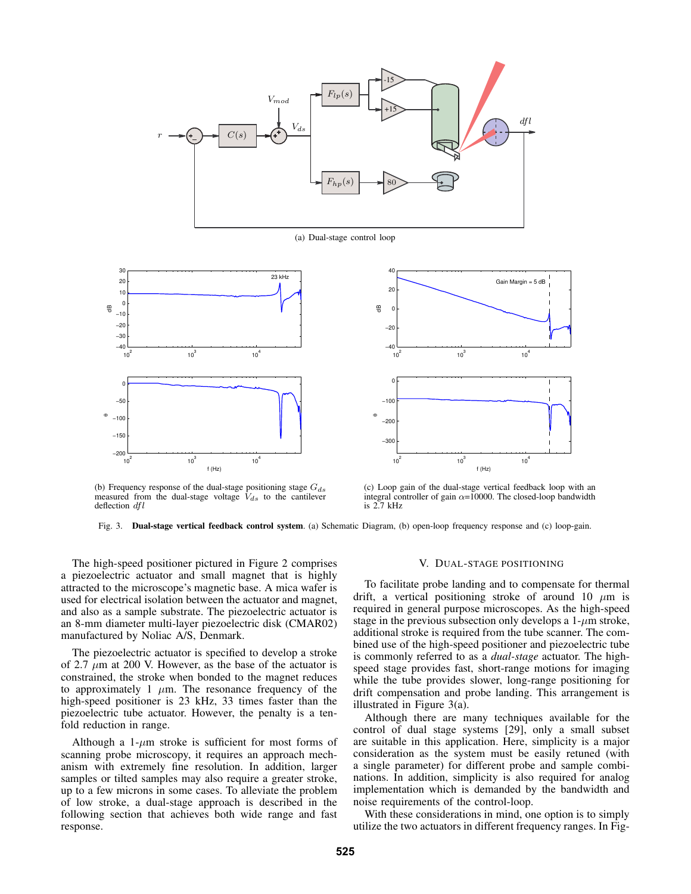

(a) Dual-stage control loop





(b) Frequency response of the dual-stage positioning stage  $G_{ds}$ measured from the dual-stage voltage  $V_{ds}$  to the cantilever deflection dfl

(c) Loop gain of the dual-stage vertical feedback loop with an integral controller of gain  $\alpha$ =10000. The closed-loop bandwidth is 2.7 kHz

Fig. 3. **Dual-stage vertical feedback control system**. (a) Schematic Diagram, (b) open-loop frequency response and (c) loop-gain.

The high-speed positioner pictured in Figure 2 comprises a piezoelectric actuator and small magnet that is highly attracted to the microscope's magnetic base. A mica wafer is used for electrical isolation between the actuator and magnet, and also as a sample substrate. The piezoelectric actuator is an 8-mm diameter multi-layer piezoelectric disk (CMAR02) manufactured by Noliac A/S, Denmark.

The piezoelectric actuator is specified to develop a stroke of 2.7  $\mu$ m at 200 V. However, as the base of the actuator is constrained, the stroke when bonded to the magnet reduces to approximately 1  $\mu$ m. The resonance frequency of the high-speed positioner is 23 kHz, 33 times faster than the piezoelectric tube actuator. However, the penalty is a tenfold reduction in range.

Although a 1- $\mu$ m stroke is sufficient for most forms of scanning probe microscopy, it requires an approach mechanism with extremely fine resolution. In addition, larger samples or tilted samples may also require a greater stroke, up to a few microns in some cases. To alleviate the problem of low stroke, a dual-stage approach is described in the following section that achieves both wide range and fast response.

### V. DUAL-STAGE POSITIONING

To facilitate probe landing and to compensate for thermal drift, a vertical positioning stroke of around 10  $\mu$ m is required in general purpose microscopes. As the high-speed stage in the previous subsection only develops a  $1-\mu m$  stroke, additional stroke is required from the tube scanner. The combined use of the high-speed positioner and piezoelectric tube is commonly referred to as a *dual-stage* actuator. The highspeed stage provides fast, short-range motions for imaging while the tube provides slower, long-range positioning for drift compensation and probe landing. This arrangement is illustrated in Figure 3(a).

Although there are many techniques available for the control of dual stage systems [29], only a small subset are suitable in this application. Here, simplicity is a major consideration as the system must be easily retuned (with a single parameter) for different probe and sample combinations. In addition, simplicity is also required for analog implementation which is demanded by the bandwidth and noise requirements of the control-loop.

With these considerations in mind, one option is to simply utilize the two actuators in different frequency ranges. In Fig-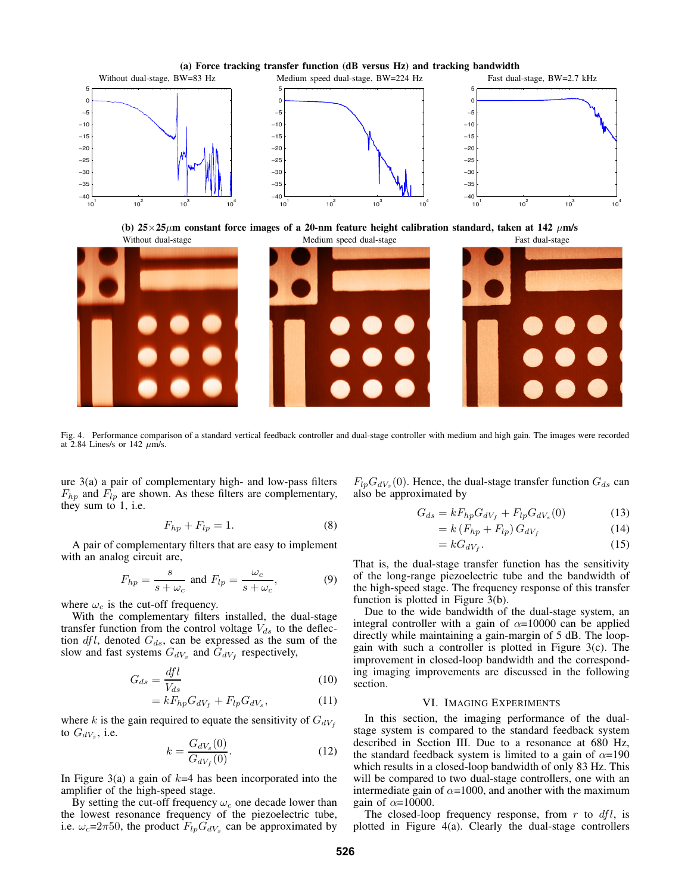

**(b)**  $25 \times 25 \mu$ m constant force images of a 20-nm feature height calibration standard, taken at 142  $\mu$ m/s Without dual-stage Task dual-stage Medium speed dual-stage Fast dual-stage Fast dual-stage



Fig. 4. Performance comparison of a standard vertical feedback controller and dual-stage controller with medium and high gain. The images were recorded at 2.84 Lines/s or 142  $\mu$ m/s.

ure 3(a) a pair of complementary high- and low-pass filters  $F_{hp}$  and  $F_{lp}$  are shown. As these filters are complementary, they sum to 1, i.e.

$$
F_{hp} + F_{lp} = 1.
$$
 (8)

A pair of complementary filters that are easy to implement with an analog circuit are,

$$
F_{hp} = \frac{s}{s + \omega_c} \text{ and } F_{lp} = \frac{\omega_c}{s + \omega_c},\tag{9}
$$

where  $\omega_c$  is the cut-off frequency.

With the complementary filters installed, the dual-stage transfer function from the control voltage  $V_{ds}$  to the deflection  $dfl$ , denoted  $G_{ds}$ , can be expressed as the sum of the slow and fast systems  $G_{dV_s}$  and  $G_{dV_f}$  respectively,

$$
G_{ds} = \frac{dfl}{V_{ds}}\tag{10}
$$

$$
=kF_{hp}G_{dV_f}+F_{lp}G_{dV_s},\qquad(11)
$$

where k is the gain required to equate the sensitivity of  $G_{dV_f}$ to  $G_{dV_s}$ , i.e.

$$
k = \frac{G_{dV_s}(0)}{G_{dV_f}(0)}.
$$
 (12)

In Figure 3(a) a gain of  $k=4$  has been incorporated into the amplifier of the high-speed stage.

By setting the cut-off frequency  $\omega_c$  one decade lower than the lowest resonance frequency of the piezoelectric tube, i.e.  $\omega_c = 2\pi 50$ , the product  $F_{lp}G_{dV_s}$  can be approximated by

 $F_{lp}G_{dV_s}(0)$ . Hence, the dual-stage transfer function  $G_{ds}$  can also be approximated by

$$
G_{ds} = kF_{hp}G_{dV_f} + F_{lp}G_{dV_s}(0)
$$
\n(13)

$$
=k\left(F_{hp}+F_{lp}\right)G_{dV_f}\tag{14}
$$

$$
=kG_{dV_f}.\tag{15}
$$

That is, the dual-stage transfer function has the sensitivity of the long-range piezoelectric tube and the bandwidth of the high-speed stage. The frequency response of this transfer function is plotted in Figure 3(b).

Due to the wide bandwidth of the dual-stage system, an integral controller with a gain of  $\alpha$ =10000 can be applied directly while maintaining a gain-margin of 5 dB. The loopgain with such a controller is plotted in Figure 3(c). The improvement in closed-loop bandwidth and the corresponding imaging improvements are discussed in the following section.

## VI. IMAGING EXPERIMENTS

In this section, the imaging performance of the dualstage system is compared to the standard feedback system described in Section III. Due to a resonance at 680 Hz, the standard feedback system is limited to a gain of  $\alpha$ =190 which results in a closed-loop bandwidth of only 83 Hz. This will be compared to two dual-stage controllers, one with an intermediate gain of  $\alpha$ =1000, and another with the maximum gain of  $\alpha$ =10000.

The closed-loop frequency response, from  $r$  to  $dfl$ , is plotted in Figure 4(a). Clearly the dual-stage controllers